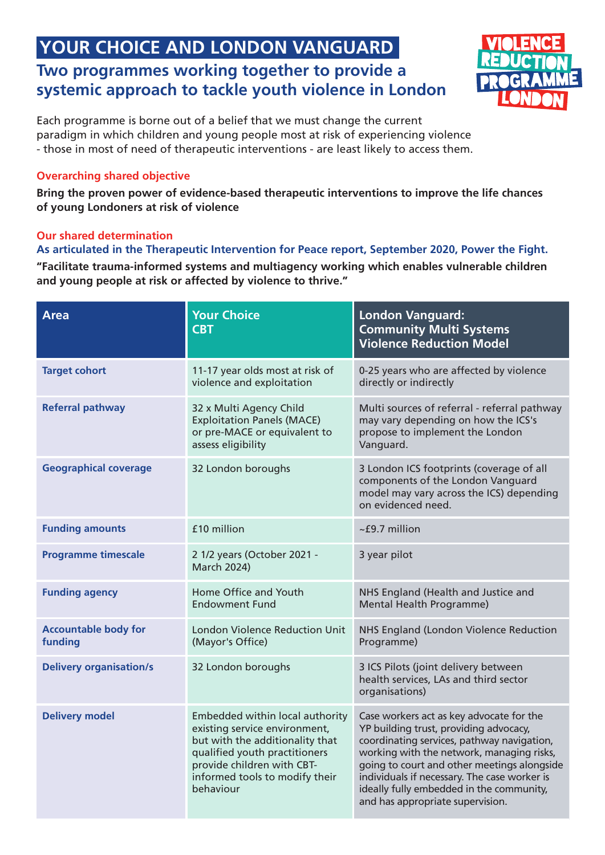## **YOUR CHOICE AND LONDON VANGUARD Two programmes working together to provide a systemic approach to tackle youth violence in London**



Each programme is borne out of a belief that we must change the current paradigm in which children and young people most at risk of experiencing violence - those in most of need of therapeutic interventions - are least likely to access them.

#### **Overarching shared objective**

**Bring the proven power of evidence-based therapeutic interventions to improve the life chances of young Londoners at risk of violence**

### **Our shared determination**

### **As articulated in the Therapeutic Intervention for Peace report, September 2020, Power the Fight.**

**"Facilitate trauma-informed systems and multiagency working which enables vulnerable children and young people at risk or affected by violence to thrive."**

| <b>Area</b>                            | <b>Your Choice</b><br><b>CBT</b>                                                                                                                                                                                  | <b>London Vanguard:</b><br><b>Community Multi Systems</b><br><b>Violence Reduction Model</b>                                                                                                                                                                                                                                                                 |
|----------------------------------------|-------------------------------------------------------------------------------------------------------------------------------------------------------------------------------------------------------------------|--------------------------------------------------------------------------------------------------------------------------------------------------------------------------------------------------------------------------------------------------------------------------------------------------------------------------------------------------------------|
| <b>Target cohort</b>                   | 11-17 year olds most at risk of<br>violence and exploitation                                                                                                                                                      | 0-25 years who are affected by violence<br>directly or indirectly                                                                                                                                                                                                                                                                                            |
| <b>Referral pathway</b>                | 32 x Multi Agency Child<br><b>Exploitation Panels (MACE)</b><br>or pre-MACE or equivalent to<br>assess eligibility                                                                                                | Multi sources of referral - referral pathway<br>may vary depending on how the ICS's<br>propose to implement the London<br>Vanguard.                                                                                                                                                                                                                          |
| <b>Geographical coverage</b>           | 32 London boroughs                                                                                                                                                                                                | 3 London ICS footprints (coverage of all<br>components of the London Vanguard<br>model may vary across the ICS) depending<br>on evidenced need.                                                                                                                                                                                                              |
| <b>Funding amounts</b>                 | £10 million                                                                                                                                                                                                       | $\sim$ £9.7 million                                                                                                                                                                                                                                                                                                                                          |
| <b>Programme timescale</b>             | 2 1/2 years (October 2021 -<br><b>March 2024)</b>                                                                                                                                                                 | 3 year pilot                                                                                                                                                                                                                                                                                                                                                 |
| <b>Funding agency</b>                  | Home Office and Youth<br><b>Endowment Fund</b>                                                                                                                                                                    | NHS England (Health and Justice and<br>Mental Health Programme)                                                                                                                                                                                                                                                                                              |
| <b>Accountable body for</b><br>funding | <b>London Violence Reduction Unit</b><br>(Mayor's Office)                                                                                                                                                         | NHS England (London Violence Reduction<br>Programme)                                                                                                                                                                                                                                                                                                         |
| <b>Delivery organisation/s</b>         | 32 London boroughs                                                                                                                                                                                                | 3 ICS Pilots (joint delivery between<br>health services, LAs and third sector<br>organisations)                                                                                                                                                                                                                                                              |
| <b>Delivery model</b>                  | Embedded within local authority<br>existing service environment,<br>but with the additionality that<br>qualified youth practitioners<br>provide children with CBT-<br>informed tools to modify their<br>behaviour | Case workers act as key advocate for the<br>YP building trust, providing advocacy,<br>coordinating services, pathway navigation,<br>working with the network, managing risks,<br>going to court and other meetings alongside<br>individuals if necessary. The case worker is<br>ideally fully embedded in the community,<br>and has appropriate supervision. |